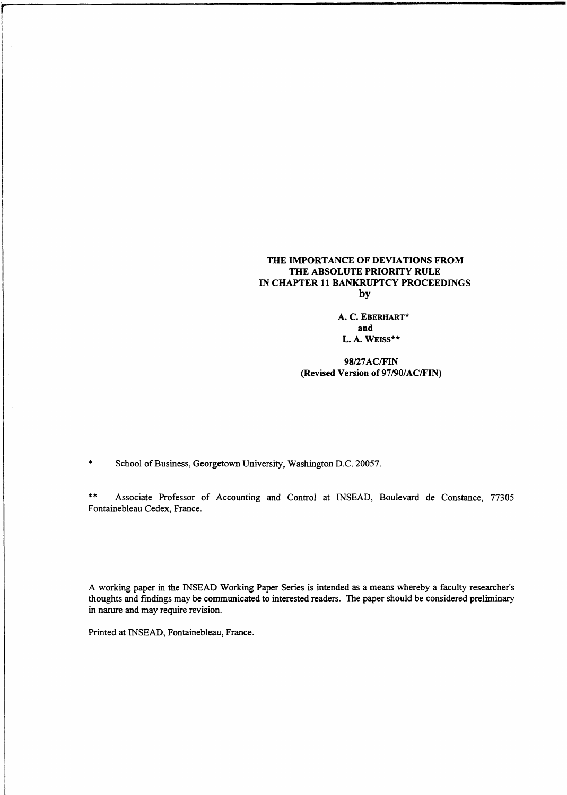## **THE IMPORTANCE OF DEVIATIONS FROM THE ABSOLUTE PRIORITY RULE IN CHAPTER 11 BANKRUPTCY PROCEEDINGS by**

A. **C. EBERHART\* and L.** A. **WEISS\*\***

**98/27AC/FIN (Revised Version of** 97/90/AC/FIN)

\* School of Business, Georgetown University, Washington D.C. 20057.

(Revised Version of 97/90/AC/FIN)<br>\* School of Business, Georgetown University, Washington D.C. 20057.<br>\* Associate Professor of Accounting and Control at INSEAD, Boulevard de Constance, 7730:<br>Fontainebleau Cedex, France. Fontainebleau Cedex, France.

A working paper in the INSEAD Working Paper Series is intended as a means whereby a faculty researcher's thoughts and fmdings may be communicated to interested readers. The paper should be considered preliminary in nature and may require revision.

Printed at INSEAD, Fontainebleau, France.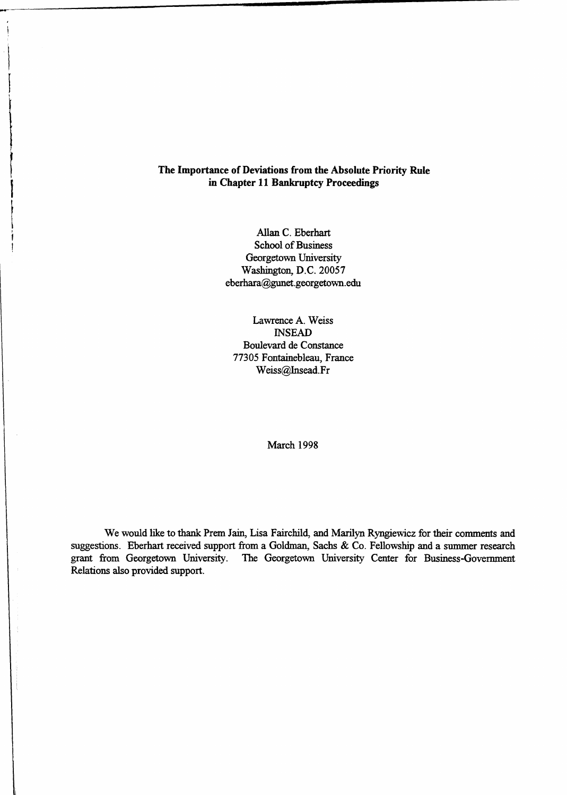# **The Importance of Deviations from the Absolute Priority Rule in Chapter 11 Bankruptcy Proceedings**

Allan C. Eberhart School of Business Georgetown University Washington, D.C. 20057 eberhara@gunet.georgetown.edu

Lawrence A. Weiss INSEAD Boulevard de Constance 77305 Fontainebleau, France Weiss@Insead.Fr

March 1998

We would like to thank Prem Jain, Lisa Fairchild, and Marilyn Ryngiewicz for their comments and suggestions. Eberhart received support from a Goldman, Sachs & Co. Fellowship and a summer research grant from Georgetown University. The Georgetown University Center for Business-Government Relations also provided support.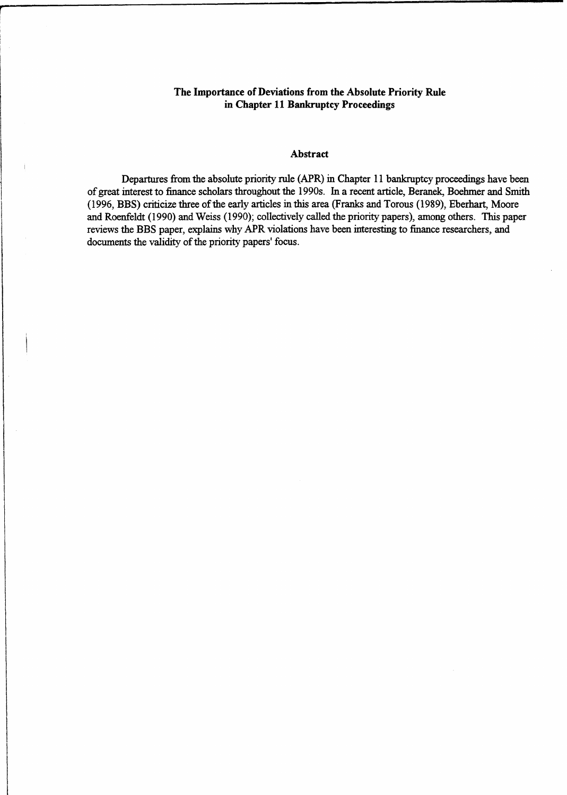# **The Importance of Deviations from the Absolute Priority Rule in Chapter 11 Bankruptcy Proceedings**

### **Abstract**

Departures from the absolute priority rule (APR) in Chapter 11 bankruptcy proceedings have been of great interest to finance scholars throughout the 1990s. In a recent article, Beranek, Boehmer and Smith (1996, BBS) criticize three of the early articles in this area (Franks and Torous (1989), Eberhart, Moore and Roenfeldt (1990) and Weiss (1990); collectively called the priority papers), among others. This paper reviews the BBS paper, explains why APR violations have been interesting to finance researchers, and documents the validity of the priority papers' focus.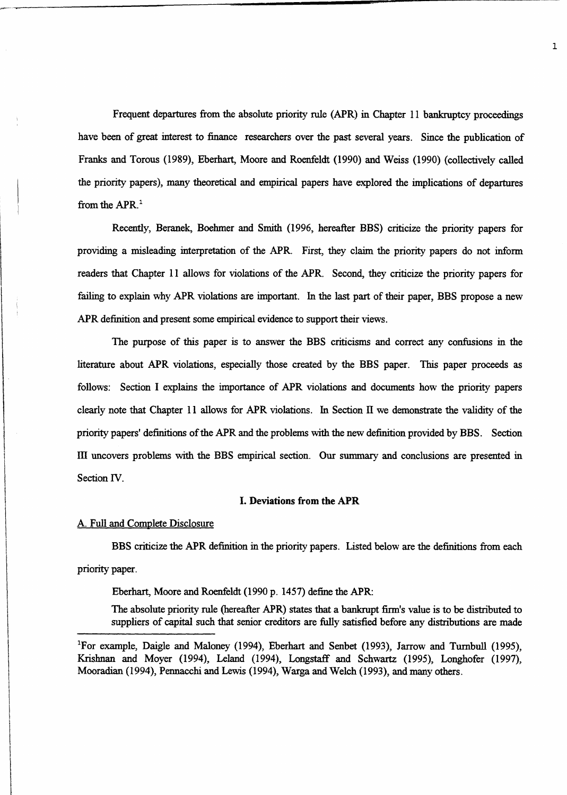Frequent departures from the absolute priority rule (APR) in Chapter 11 bankruptcy proceedings have been of great interest to finance researchers over the past several years. Since the publication of Franks and Torous (1989), Eberhart, Moore and Roenfeldt (1990) and Weiss (1990) (collectively called the priority papers), many theoretical and empirical papers have explored the implications of departures from the APR.<sup>1</sup>

Recently, Beranek, Boehmer and Smith (1996, hereafter BBS) criticize the priority papers for providing a misleading interpretation of the APR. First, they claim the priority papers do not inform readers that Chapter 11 allows for violations of the APR. Second, they criticize the priority papers for failing to explain why APR violations are important. In the last part of their paper, BBS propose a new APR definition and present some empirical evidence to support their views.

The purpose of this paper is to answer the BBS criticisms and correct any confusions in the literature about APR violations, especially those created by the BBS paper. This paper proceeds as follows: Section I explains the importance of APR violations and documents how the priority papers clearly note that Chapter 11 allows for APR violations. In Section II we demonstrate the validity of the priority papers' definitions of the APR and the problems with the new definition provided by **BBS.** Section III uncovers problems with the BBS empirical section. Our summary and conclusions are presented in Section W.

### I. **Deviations from the APR**

#### A. Full and Complete Disclosure

BBS criticize the APR definition in the priority papers. Listed below are the definitions from each priority paper.

Eberhart, Moore and Roenfeldt (1990 p. 1457) define the APR:

The absolute priority rule (hereafter APR) states that a bankrupt firm's value is to be distributed to suppliers of capital such that senior creditors are fully satisfied before any distributions are made

<sup>&#</sup>x27;For example, Daigle and Maloney (1994), Eberhart and Senbet (1993), Jarrow and Turnbull (1995), Krishnan and Moyer (1994), Leland (1994), Longstaff and Schwartz (1995), Longhofer (1997), Mooradian (1994), Pennacchi and Lewis (1994), Warga and Welch (1993), and many others.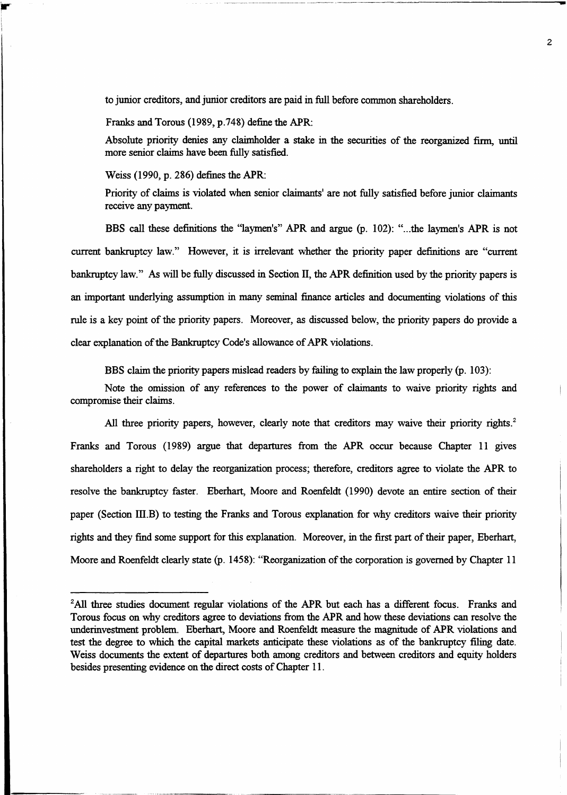to junior creditors, and junior creditors are paid in full before common shareholders.

Franks and Torous (1989, p.748) define the APR:

Absolute priority denies any claimholder a stake in the securities of the reorganized firm, until more senior claims have been fully satisfied.

Weiss (1990, p. 286) defines the APR:

Priority of claims is violated when senior claimants' are not fully satisfied before junior claimants receive any payment.

BBS call these definitions the "laymen's" APR and argue (p. 102): "...the laymen's APR is not current bankruptcy law." However, it is irrelevant whether the priority paper definitions are "current bankruptcy law." As will be fully discussed in Section II, the APR definition used by the priority papers is an important underlying assumption in many seminal finance articles and documenting violations of this rule is a key point of the priority papers. Moreover, as discussed below, the priority papers do provide a clear explanation of the Bankruptcy Code's allowance of APR violations.

BBS claim the priority papers mislead readers by failing to explain the law properly (p. 103):

Note the omission of any references to the power of claimants to waive priority rights and compromise their claims.

All three priority papers, however, clearly note that creditors may waive their priority rights.<sup>2</sup> Franks and Torous (1989) argue that departures from the APR occur because Chapter 11 gives shareholders a right to delay the reorganization process; therefore, creditors agree to violate the APR to resolve the bankruptcy faster. Eberhart, Moore and Roenfeldt (1990) devote an entire section of their paper (Section **III.B)** to testing the Franks and Torous explanation for why creditors waive their priority rights and they find some support for this explanation. Moreover, in the first part of their paper, Eberhart, Moore and Roenfeldt clearly state (p. 1458): "Reorganization of the corporation is governed by Chapter 11

<sup>&</sup>lt;sup>2</sup>All three studies document regular violations of the APR but each has a different focus. Franks and Torous focus on why creditors agree to deviations from the APR and how these deviations can resolve the underinvestment problem. Eberhart, Moore and Roenfeldt measure the magnitude of APR violations and test the degree to which the capital markets anticipate these violations as of the bankruptcy filing date. Weiss documents the extent of departures both among creditors and between creditors and equity holders besides presenting evidence on the direct costs of Chapter 11.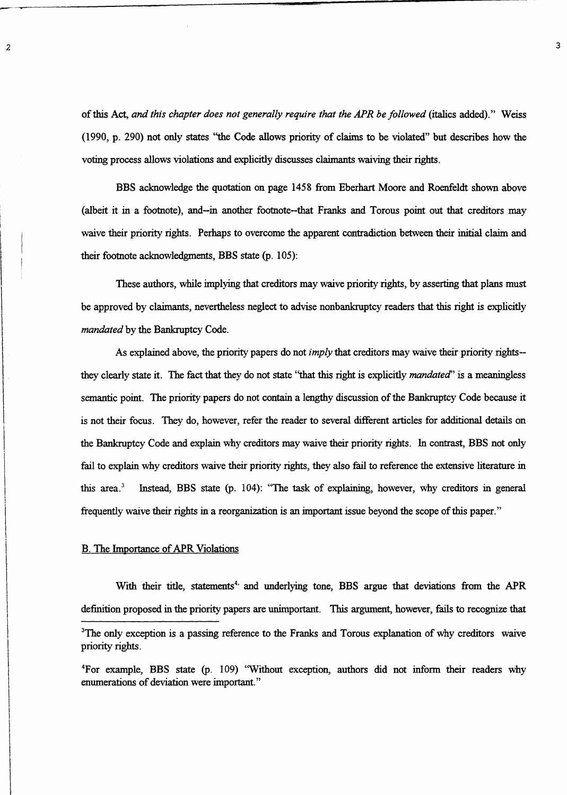of this Act, *and this chapter does not generally require that the APR be followed (italics* added)." Weiss (1990, p. 290) not only states "the Code allows priority of claims to be violated" but describes how the voting process allows violations and explicitly discusses claimants waiving their rights.

BBS acknowledge the quotation on page 1458 from Eberhart Moore and Roenfeldt shown above (albeit it in a footnote), and—in another footnote--that Franks and Torous point out that creditors may waive their priority rights. Perhaps to overcome the apparent contradiction between their initial claim and their footnote acknowledgments, BBS state (p. 105):

These authors, while implying that creditors may waive priority rights, by asserting that plans must be approved by claimants, nevertheless neglect to advise nonbankruptcy readers that this right is explicitly *mandated* by the Bankruptcy Code.

As explained above, the priority papers do not *imply* that creditors may waive their priority rights- they clearly state it. The fact that they do not state "that this right is explicitly *mandated"* is a meaningless semantic point. The priority papers do not contain a lengthy discussion of the Bankruptcy Code because it is not their focus. They do, however, refer the reader to several different articles for additional details on the Bankruptcy Code and explain why creditors may waive their priority rights. In contrast, BBS not only fail to explain why creditors waive their priority rights, they also fail to reference the extensive literature in this area.' Instead, BBS state (p. 104): "The task of explaining, however, why creditors in general frequently waive their rights in a reorganization is an important issue beyond the scope of this paper."

### B. The Importance of APR Violations

With their title, statements<sup>4</sup> and underlying tone, BBS argue that deviations from the APR definition proposed in the priority papers are unimportant. This argument, however, fails to recognize that

<sup>&</sup>lt;sup>3</sup>The only exception is a passing reference to the Franks and Torous explanation of why creditors waive priority rights.

<sup>&#</sup>x27;For example, BBS state (p. 109) "Without exception, authors did not inform their readers why enumerations of deviation were important."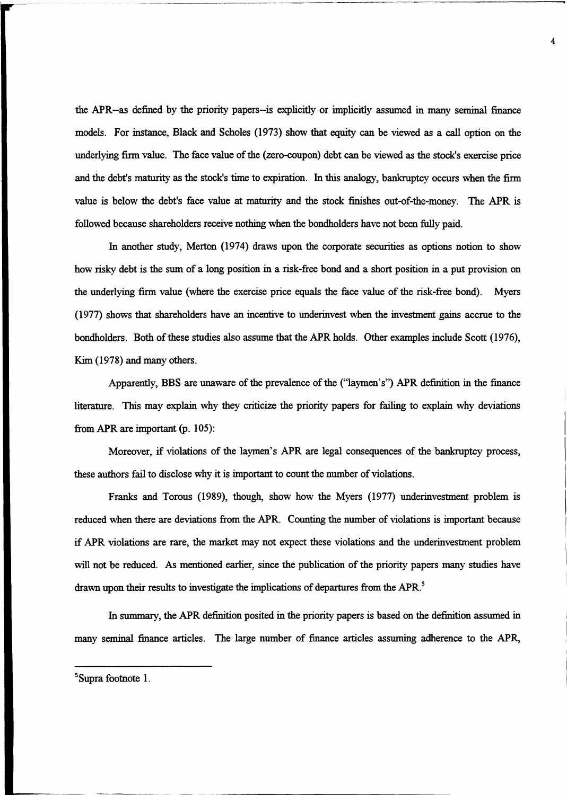the APR--as defined by the priority papers--is explicitly or implicitly assumed in many seminal finance models. For instance, Black and Scholes (1973) show that equity can be viewed as a call option on the underlying firm value. The face value of the (zero-coupon) debt can be viewed *as* the stock's exercise price and the debt's maturity as the stock's time to expiration. In this analogy, bankruptcy occurs when the firm value is below the debt's face value at maturity and the stock finishes out-of-the-money. The APR is followed because shareholders receive nothing when the bondholders have not been fully paid.

In another study, Merton (1974) draws upon the corporate securities as options notion to show how risky debt is the sum of a long position in a risk-free bond and a short position in a put provision on the underlying firm value (where the exercise price equals the face value of the risk-free bond). Myers (1977) shows that shareholders have an incentive to underinvest when the investment gains accrue to the bondholders. Both of these studies also assume that the APR holds. Other examples include Scott (1976), Kim (1978) and many others.

Apparently, BBS are unaware of the prevalence of the ("laymen's") APR definition in the finance literature. This may explain why they criticize the priority papers for failing to explain why deviations from APR are important (p. 105):

Moreover, if violations of the laymen's APR are legal consequences of the bankruptcy process, these authors fail to disclose why it is important to count the number of violations.

Franks and Torous (1989), though, show how the Myers (1977) underinvestment problem is reduced when there are deviations from the APR. Counting the number of violations is important because if APR violations are rare, the market may not expect these violations and the underinvestment problem will not be reduced. As mentioned earlier, since the publication of the priority papers many studies have drawn upon their results to investigate the implications of departures from the APR.'

In summary, the APR definition posited in the priority papers is based on the definition assumed in many seminal finance articles. The large number of finance articles assuming adherence to the APR,

5Supra footnote 1.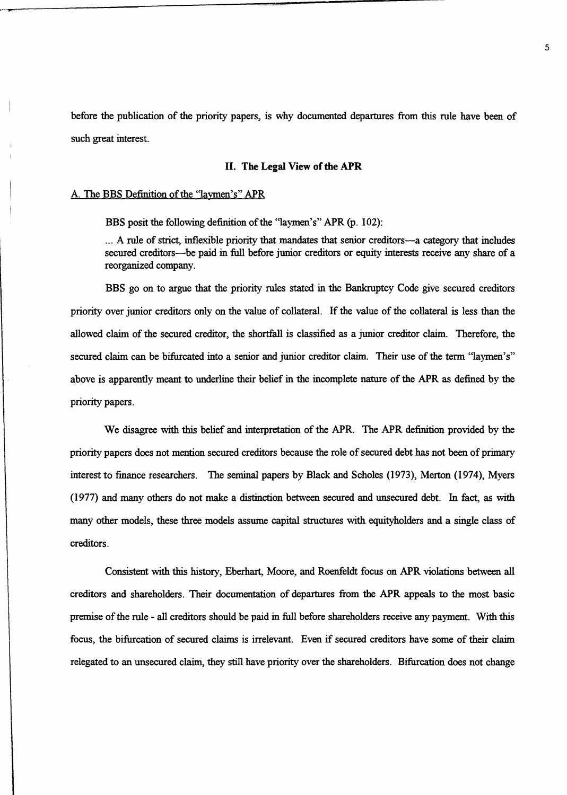before the publication of the priority papers, is why documented departures from this rule have been of such great interest.

## **II. The Legal View of the APR**

### A. The BBS Definition of the "laymen's" APR

**BBS** posit the following definition of the "laymen's" APR (p. 102):

... A rule of strict, inflexible priority that mandates that senior creditors—a category that includes secured creditors—be paid in full before junior creditors or equity interests receive any share of a reorganized company.

BBS go on to argue that the priority rules stated in the Bankruptcy Code give secured creditors priority over junior creditors only on the value of collateral. If the value of the collateral is less than the allowed claim of the secured creditor, the shortfall is classified as a junior creditor claim. Therefore, the secured claim can be bifurcated into a senior and junior creditor claim. Their use of the term "laymen's" above is apparently meant to underline their belief in the incomplete nature of the APR *as* defined by the priority papers.

We disagree with this belief and interpretation of the APR. The APR definition provided by the priority papers does not mention secured creditors because the role of secured debt has not been of primary interest to finance researchers. The seminal papers by Black and Scholes (1973), Merton (1974), Myers (1977) and many others do not make a distinction between secured and unsecured debt. In fact, as with many other models, these three models assume capital structures with equityholders and a single class of creditors.

Consistent with this history, Eberhart, Moore, and Roenfeldt focus on APR violations between all creditors and shareholders. Their documentation of departures from the APR appeals to the most basic premise of the rule - all creditors should be paid in full before shareholders receive any payment. With this focus, the bifurcation of secured claims is irrelevant. Even if secured creditors have some of their claim relegated to an unsecured claim, they still have priority over the shareholders. Bifurcation does not change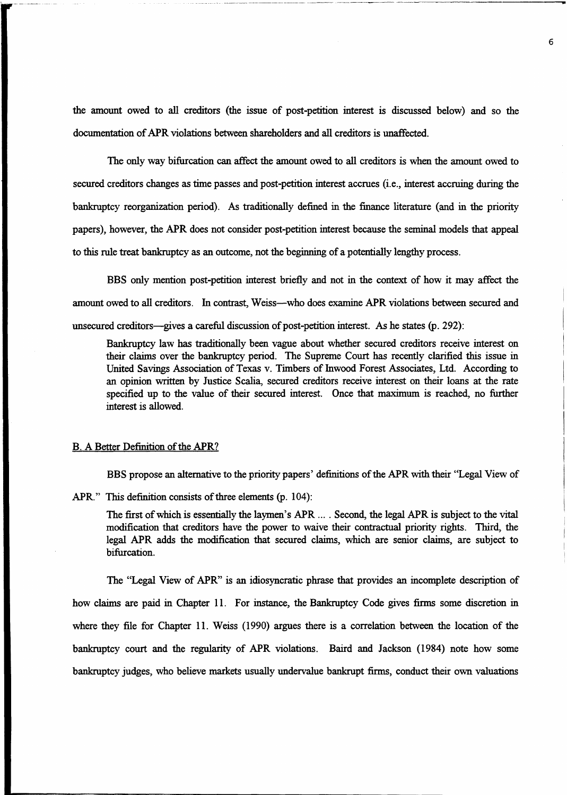the amount owed to all creditors (the issue of post-petition interest is discussed below) and so the documentation of APR violations between shareholders and all creditors is unaffected.

The only way bifurcation can affect the amount owed to all creditors is when the amount owed to secured creditors changes *as time* passes and post-petition interest accrues (i.e., interest accruing during the bankruptcy reorganization period). As traditionally defined in the finance literature (and in the priority papers), however, the APR does not consider post-petition interest because the seminal models that appeal to this rule treat bankruptcy as an outcome, not the beginning of a potentially lengthy process.

BBS only mention post-petition interest briefly and not in the context of how it may affect the amount owed to all creditors. In contrast, Weiss—who does examine APR violations between secured and unsecured creditors—gives a careful discussion of post-petition interest. As he states (p. 292):

Bankruptcy law has traditionally been vague about whether secured creditors receive interest on their claims over the bankruptcy period. The Supreme Court has recently clarified this issue in United Savings Association of Texas v. Timbers of Inwood Forest Associates, Ltd. According to an opinion written by Justice Scalia, secured creditors receive interest on their loans at the rate specified up to the value of their secured interest. Once that maximum is reached, no further interest is allowed.

#### B. A Better Definition of the APR?

BBS propose an alternative to the priority papers' definitions of the APR with their "Legal View of

APR." This definition consists of three elements (p. 104):

The first of which is essentially the laymen's APR ... . Second, the legal APR is subject to the vital modification that creditors have the power to waive their contractual priority rights. Third, the legal APR adds the modification that secured claims, which are senior claims, are subject to bifurcation.

The "Legal View of APR" is an idiosyncratic phrase that provides an incomplete description of how claims are paid in Chapter 11. For instance, the Bankruptcy Code gives firms some discretion in where they file for Chapter 11. Weiss (1990) argues there is a correlation between the location of the bankruptcy court and the regularity of APR violations. Baird and Jackson (1984) note how some bankruptcy judges, who believe markets usually undervalue bankrupt firms, conduct their own valuations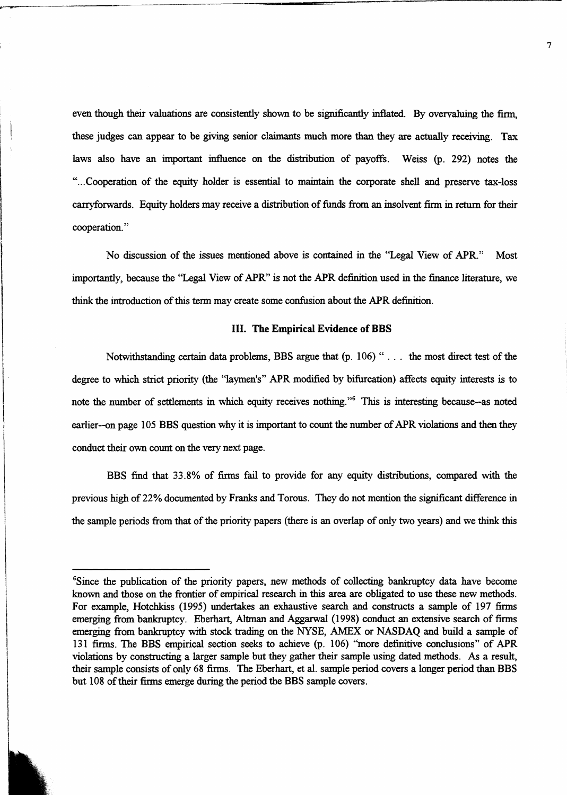even though their valuations are consistently shown to be significantly inflated. By overvaluing the firm, these judges can appear to be giving senior claimants much more than they are actually receiving. Tax laws also have an important influence on the distribution of payoffs. Weiss (p. 292) notes the "...Cooperation of the equity holder is essential to maintain the corporate shell and preserve tax-loss carryforwards. Equity holders may receive a distribution of funds from an insolvent firm in return for their cooperation."

No discussion of the issues mentioned above is contained in the "Legal View of APR." Most importantly, because the "Legal View of APR" is not the APR definition used in the finance literature, we think the introduction of this term may create some confusion about the APR definition.

### **III. The Empirical Evidence of BBS**

Notwithstanding certain data problems, BBS argue that (p. 106) " . . . the most direct test of the degree to which strict priority (the "laymen's" APR modified by bifurcation) affects equity interests is to note the number of settlements in which equity receives nothing."<sup>6</sup> This is interesting because--as noted earlier--on page 105 BBS question why it is important to count the number of APR violations and then they conduct their own count on the very next page.

BBS find that 33.8% of firms fail to provide for any equity distributions, compared with the previous high of 22% documented by Franks and Torous. They do not mention the significant difference in the sample periods from that of the priority papers (there is an overlap of only two years) and we think this

<sup>&#</sup>x27;Since the publication of the priority papers, new methods of collecting bankruptcy data have become known and those on the frontier of empirical research in this area are obligated to use these new methods. For example, Hotchkiss (1995) undertakes an exhaustive search and constructs a sample of 197 firms emerging from bankruptcy. Eberhart, Altman and Aggarwal (1998) conduct an extensive search of firms emerging from bankruptcy with stock trading on the NYSE, AMEX or NASDAQ and build a sample of 131 firms. The BBS empirical section seeks to achieve (p. 106) "more definitive conclusions" of APR violations by constructing a larger sample but they gather their sample using dated methods. As a result, their sample consists of only 68 firms. The Eberhart, et al. sample period covers a longer period **than BBS** but 108 of their firms emerge during the period the BBS sample covers.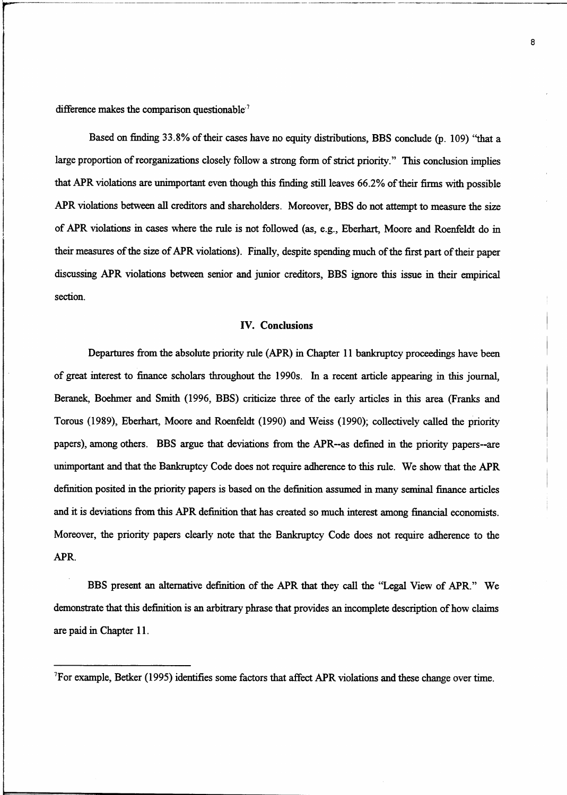difference makes the comparison questionable<sup>7</sup>

Based on finding 33.8% of their cases have no equity distributions, BBS conclude (p. 109) "that a large proportion of reorganizations closely follow a strong form of strict priority." This conclusion implies that APR violations are unimportant even though this finding still leaves 66.2% of their firms with possible APR violations between all creditors and shareholders. Moreover, BBS do not attempt to measure the size of APR violations in cases where the rule is not followed (as, e.g., Eberhart, Moore and Roenfeldt do in their measures of the size of APR violations). Finally, despite spending much of the first part of their paper discussing APR violations between senior and junior creditors, BBS ignore this issue in their empirical section.

### **IV. Conclusions**

Departures from the absolute priority rule (APR) in Chapter 11 bankruptcy proceedings have been of great interest to finance scholars throughout the 1990s. In a recent article appearing in this journal, Beranek, Boehmer and Smith (1996, BBS) criticize three of the early articles in this area (Franks and Torous (1989), Eberhart, Moore and Roenfeldt (1990) and Weiss (1990); collectively called the priority papers), among others. BBS argue that deviations from the APR--as defined in the priority papers--are unimportant and that the Bankruptcy Code does not require adherence to this rule. We show that the APR definition posited in the priority papers is based on the definition assumed in many seminal finance articles and it is deviations from this APR definition that has created so much interest among financial economists. Moreover, the priority papers clearly note that the Bankruptcy Code does not require adherence to the APR.

BBS present an alternative definition of the APR that they call the "Legal View of APR." We demonstrate that this definition is an arbitrary phrase that provides an incomplete description of how claims are paid in Chapter 11.

<sup>&#</sup>x27;For example, Betker (1995) identifies some factors that affect APR violations and these change over time.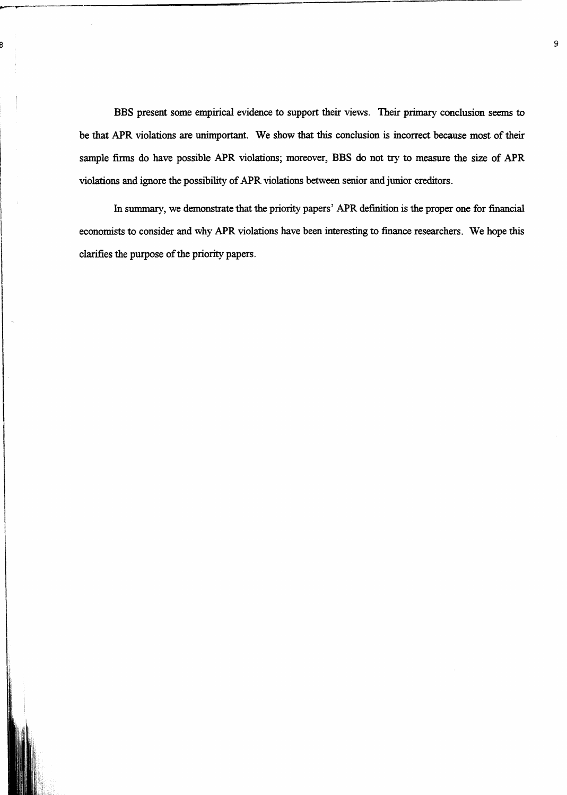BBS present some empirical evidence to support their views. Their primary conclusion seems to be that APR violations are unimportant. We show that this conclusion is incorrect because most of their sample firms do have possible APR violations; moreover, BBS do not try to measure the size of APR violations and ignore the possibility of APR violations between senior and junior creditors.

In summary, we demonstrate that the priority papers' APR definition is the proper one for financial economists to consider and why APR violations have been interesting to finance researchers. We hope this clarifies the purpose of the priority papers.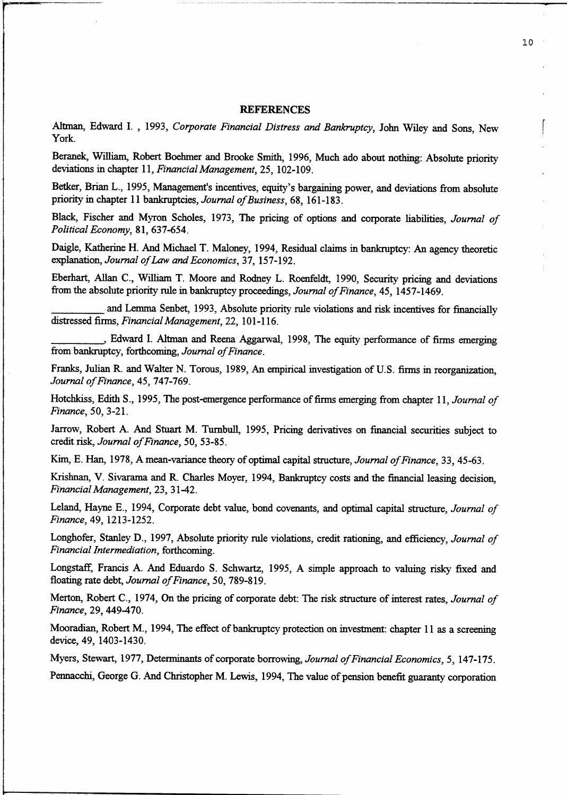#### **REFERENCES**

Altman, Edward I. , 1993, *Corporate Financial Distress and Bankruptcy,* John Wiley and Sons, New York.

Beranek, William, Robert Boehmer and Brooke Smith, 1996, Much ado about nothing: Absolute priority deviations in chapter 11, *Financial Management,* 25, 102-109.

Betker, Brian L., 1995, Management's incentives, equity's bargaining power, and deviations from absolute priority in chapter 11 bankruptcies, *Journal of Business,* 68, 161-183.

Black, Fischer and Myron Scholes, 1973, The pricing of options and corporate liabilities, *Journal of Political Economy,* 81, 637-654.

Daigle, Katherine H. And Michael T. Maloney, 1994, Residual claims in bankruptcy: An agency theoretic explanation, *Journal of Law and Economics,* 37, 157-192.

Eberhart, Allan C., William T. Moore and Rodney L. Roenfeldt, 1990, Security pricing and deviations d F F  $F$  I c F f  $-d$   $-c$ from the absolute priority rule in bankruptcy proceedings, *Journal of Finance,* 45, 1457-1469. FHI d Hf d ff F

and Lemma Senbet, 1993, Absolute priority rule violations and risk incentives for financially distressed firms, *Financial Management,* 22, 101-116.

, Edward I. Altman and Reena Aggarwal, 1998, The equity performance of firms emerging from bankruptcy, forthcoming, *Journal of Finance.*

Franks, Julian R. and Walter N. Torous, 1989, An empirical investigation of U.S. firms in reorganization, *Journal of Finance,* 45, 747-769.

Hotchkiss, Edith S., 1995, The post-emergence performance of firms emerging from chapter 11, *Journal of Finance,* 50, 3-21.

Jarrow, Robert A. And Stuart M. Turnbull, 1995, Pricing derivatives on financial securities subject to credit risk, *Journal of Finance,* 50, 53-85.

Kim, E. Han, 1978, A mean-variance theory of optimal capital structure, *Journal of Finance,* 33, 45-63.

Krishnan, V. Sivarama and R. Charles Moyer, 1994, Bankruptcy costs and the financial leasing decision, *Financial Management,* 23, 31-42.

Leland, Hayne E., 1994, Corporate debt value, bond covenants, and optimal capital structure, *Journal of Finance,* 49, 1213-1252.

Longhofer, Stanley D., 1997, Absolute priority rule violations, credit rationing, and efficiency, *Journal of Financial Intermediation,* forthcoming.

Longstaff, Francis A. And Eduardo S. Schwartz, 1995, A simple approach to valuing risky fixed and floating rate debt, *Journal of Finance,* 50, 789-819.

Merton, Robert C., 1974, On the pricing of corporate debt: The risk structure of interest rates, *Journal of Finance,* 29, 449-470.

Mooradian, Robert M., 1994, The effect of bankruptcy protection on investment: chapter 11 as a screening device, 49, 1403-1430.

Myers, Stewart, 1977, Determinants of corporate borrowing, *Journal of Financial Economics, 5,* 147-175. Pennacchi, George G. And Christopher M. Lewis, 1994, The value of pension benefit guaranty corporation